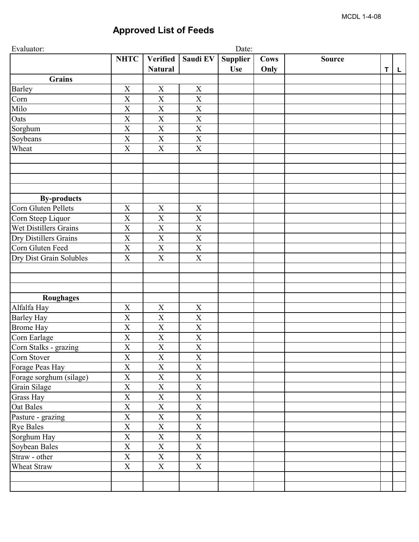## **Approved List of Feeds**

| Evaluator:              | Date:                     |                           |                           |                 |             |               |   |              |  |
|-------------------------|---------------------------|---------------------------|---------------------------|-----------------|-------------|---------------|---|--------------|--|
|                         | <b>NHTC</b>               | <b>Verified</b>           | Saudi EV                  | <b>Supplier</b> | <b>Cows</b> | <b>Source</b> |   |              |  |
|                         |                           | <b>Natural</b>            |                           | <b>Use</b>      | Only        |               | T | $\mathsf{L}$ |  |
| <b>Grains</b>           |                           |                           |                           |                 |             |               |   |              |  |
| <b>Barley</b>           | $\boldsymbol{\mathrm{X}}$ | $\mathbf X$               | $\mathbf X$               |                 |             |               |   |              |  |
| Corn                    | $\overline{X}$            | $\overline{X}$            | $\overline{X}$            |                 |             |               |   |              |  |
| Milo                    | $\overline{X}$            | $\mathbf X$               | $\overline{\text{X}}$     |                 |             |               |   |              |  |
| Oats                    | $\overline{X}$            | $\overline{X}$            | $\overline{X}$            |                 |             |               |   |              |  |
| Sorghum                 | $\mathbf X$               | $\mathbf X$               | $\mathbf X$               |                 |             |               |   |              |  |
| Soybeans                | $\boldsymbol{\mathrm{X}}$ | $\mathbf X$               | $\mathbf X$               |                 |             |               |   |              |  |
| Wheat                   | $\boldsymbol{\mathrm{X}}$ | $\mathbf X$               | $\mathbf X$               |                 |             |               |   |              |  |
|                         |                           |                           |                           |                 |             |               |   |              |  |
|                         |                           |                           |                           |                 |             |               |   |              |  |
|                         |                           |                           |                           |                 |             |               |   |              |  |
|                         |                           |                           |                           |                 |             |               |   |              |  |
| <b>By-products</b>      |                           |                           |                           |                 |             |               |   |              |  |
| Corn Gluten Pellets     | X                         | $\mathbf X$               | $\mathbf X$               |                 |             |               |   |              |  |
| Corn Steep Liquor       | $\boldsymbol{\mathrm{X}}$ | $\mathbf X$               | $\mathbf X$               |                 |             |               |   |              |  |
| Wet Distillers Grains   | $\overline{X}$            | $\mathbf X$               | $\mathbf X$               |                 |             |               |   |              |  |
| Dry Distillers Grains   | $\boldsymbol{\mathrm{X}}$ | $\mathbf X$               | $\mathbf X$               |                 |             |               |   |              |  |
| Corn Gluten Feed        | $\boldsymbol{\mathrm{X}}$ | $\mathbf X$               | $\mathbf X$               |                 |             |               |   |              |  |
| Dry Dist Grain Solubles | $\boldsymbol{\mathrm{X}}$ | $\mathbf X$               | $\mathbf X$               |                 |             |               |   |              |  |
|                         |                           |                           |                           |                 |             |               |   |              |  |
|                         |                           |                           |                           |                 |             |               |   |              |  |
|                         |                           |                           |                           |                 |             |               |   |              |  |
| <b>Roughages</b>        |                           |                           |                           |                 |             |               |   |              |  |
| Alfalfa Hay             | $\boldsymbol{\mathrm{X}}$ | $\mathbf X$               | $\mathbf X$               |                 |             |               |   |              |  |
| <b>Barley Hay</b>       | $\boldsymbol{\mathrm{X}}$ | $\mathbf X$               | $\mathbf X$               |                 |             |               |   |              |  |
| <b>Brome Hay</b>        | $\boldsymbol{\mathrm{X}}$ | $\mathbf X$               | $\boldsymbol{\mathrm{X}}$ |                 |             |               |   |              |  |
| Corn Earlage            | $\boldsymbol{\mathrm{X}}$ | $\overline{\text{X}}$     | $\overline{X}$            |                 |             |               |   |              |  |
| Corn Stalks - grazing   | $\mathbf X$               | $\mathbf X$               | $\overline{\text{X}}$     |                 |             |               |   |              |  |
| Corn Stover             | $\mathbf X$               | $\mathbf X$               | $\overline{\textbf{X}}$   |                 |             |               |   |              |  |
| Forage Peas Hay         | $\mathbf X$               | $\boldsymbol{\mathrm{X}}$ | $\mathbf X$               |                 |             |               |   |              |  |
| Forage sorghum (silage) | $\boldsymbol{\mathrm{X}}$ | $\boldsymbol{\mathrm{X}}$ | $\mathbf X$               |                 |             |               |   |              |  |
| Grain Silage            | $\boldsymbol{\mathrm{X}}$ | $\boldsymbol{\mathrm{X}}$ | $\mathbf X$               |                 |             |               |   |              |  |
| Grass Hay               | $\mathbf X$               | X                         | $\mathbf X$               |                 |             |               |   |              |  |
| Oat Bales               | $\boldsymbol{\mathrm{X}}$ | $\boldsymbol{\mathrm{X}}$ | $\mathbf X$               |                 |             |               |   |              |  |
| Pasture - grazing       | $\mathbf X$               | $\mathbf X$               | $\mathbf X$               |                 |             |               |   |              |  |
| <b>Rye Bales</b>        | $\mathbf X$               | $\boldsymbol{\mathrm{X}}$ | $\mathbf X$               |                 |             |               |   |              |  |
| Sorghum Hay             | $\boldsymbol{\mathrm{X}}$ | $\boldsymbol{\mathrm{X}}$ | $\mathbf X$               |                 |             |               |   |              |  |
| Soybean Bales           | $\mathbf X$               | $\boldsymbol{\mathrm{X}}$ | $\mathbf X$               |                 |             |               |   |              |  |
| Straw - other           | X                         | $\mathbf X$               | $\mathbf X$               |                 |             |               |   |              |  |
| Wheat Straw             | $\mathbf X$               | $\mathbf X$               | $\mathbf X$               |                 |             |               |   |              |  |
|                         |                           |                           |                           |                 |             |               |   |              |  |
|                         |                           |                           |                           |                 |             |               |   |              |  |
|                         |                           |                           |                           |                 |             |               |   |              |  |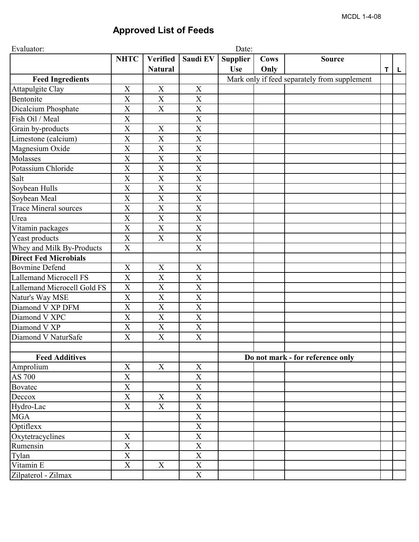## **Approved List of Feeds**

| Evaluator:                    | Date:                     |                           |                           |                 |                                  |                                              |   |   |
|-------------------------------|---------------------------|---------------------------|---------------------------|-----------------|----------------------------------|----------------------------------------------|---|---|
|                               | <b>NHTC</b>               | <b>Verified</b>           | Saudi EV                  | <b>Supplier</b> | <b>Cows</b>                      | <b>Source</b>                                |   |   |
|                               |                           | <b>Natural</b>            |                           | <b>Use</b>      | Only                             |                                              | T | L |
| <b>Feed Ingredients</b>       |                           |                           |                           |                 |                                  | Mark only if feed separately from supplement |   |   |
| Attapulgite Clay              | $\mathbf X$               | $\mathbf X$               | X                         |                 |                                  |                                              |   |   |
| Bentonite                     | $\boldsymbol{\mathrm{X}}$ | $\boldsymbol{\mathrm{X}}$ | $\boldsymbol{\mathrm{X}}$ |                 |                                  |                                              |   |   |
| Dicalcium Phosphate           | $\boldsymbol{\mathrm{X}}$ | $\mathbf X$               | $\mathbf X$               |                 |                                  |                                              |   |   |
| Fish Oil / Meal               | $\boldsymbol{\mathrm{X}}$ |                           | $\boldsymbol{\mathrm{X}}$ |                 |                                  |                                              |   |   |
| Grain by-products             | $\boldsymbol{\mathrm{X}}$ | $\mathbf X$               | $\mathbf X$               |                 |                                  |                                              |   |   |
| Limestone (calcium)           | $\boldsymbol{\mathrm{X}}$ | $\mathbf X$               | $\mathbf X$               |                 |                                  |                                              |   |   |
| Magnesium Oxide               | $\boldsymbol{\mathrm{X}}$ | $\boldsymbol{X}$          | $\mathbf X$               |                 |                                  |                                              |   |   |
| Molasses                      | X                         | X                         | $\mathbf X$               |                 |                                  |                                              |   |   |
| Potassium Chloride            | $\boldsymbol{\mathrm{X}}$ | $\mathbf X$               | $\mathbf X$               |                 |                                  |                                              |   |   |
| Salt                          | X                         | $\mathbf X$               | $\mathbf X$               |                 |                                  |                                              |   |   |
| Soybean Hulls                 | $\boldsymbol{\mathrm{X}}$ | $\mathbf X$               | $\mathbf X$               |                 |                                  |                                              |   |   |
| Soybean Meal                  | $\boldsymbol{\mathrm{X}}$ | $\boldsymbol{\mathrm{X}}$ | $\mathbf X$               |                 |                                  |                                              |   |   |
| <b>Trace Mineral sources</b>  | $\boldsymbol{\mathrm{X}}$ | $\mathbf X$               | $\mathbf X$               |                 |                                  |                                              |   |   |
| Urea                          | $\boldsymbol{\mathrm{X}}$ | $\mathbf X$               | $\mathbf X$               |                 |                                  |                                              |   |   |
| Vitamin packages              | $\boldsymbol{\mathrm{X}}$ | $\mathbf X$               | $\boldsymbol{\mathrm{X}}$ |                 |                                  |                                              |   |   |
| Yeast products                | $\mathbf X$               | $\mathbf X$               | $\mathbf X$               |                 |                                  |                                              |   |   |
| Whey and Milk By-Products     | $\boldsymbol{\mathrm{X}}$ |                           | X                         |                 |                                  |                                              |   |   |
| <b>Direct Fed Microbials</b>  |                           |                           |                           |                 |                                  |                                              |   |   |
| <b>Bovmine Defend</b>         | X                         | X                         | $\mathbf X$               |                 |                                  |                                              |   |   |
| <b>Lallemand Microcell FS</b> | $\overline{X}$            | $\mathbf X$               | $\mathbf X$               |                 |                                  |                                              |   |   |
| Lallemand Microcell Gold FS   | $\boldsymbol{\mathrm{X}}$ | $\mathbf X$               | $\mathbf X$               |                 |                                  |                                              |   |   |
| Natur's Way MSE               | $\boldsymbol{\mathrm{X}}$ | X                         | $\mathbf X$               |                 |                                  |                                              |   |   |
| Diamond V XP DFM              | $\boldsymbol{\mathrm{X}}$ | $\mathbf X$               | $\boldsymbol{\mathrm{X}}$ |                 |                                  |                                              |   |   |
| Diamond V XPC                 | $\boldsymbol{\mathrm{X}}$ | $\mathbf X$               | $\mathbf X$               |                 |                                  |                                              |   |   |
| Diamond V XP                  | X                         | $\mathbf X$               | $\overline{X}$            |                 |                                  |                                              |   |   |
| Diamond V NaturSafe           | $\overline{\text{X}}$     | $\overline{X}$            | $\overline{X}$            |                 |                                  |                                              |   |   |
|                               |                           |                           |                           |                 |                                  |                                              |   |   |
| <b>Feed Additives</b>         |                           |                           |                           |                 | Do not mark - for reference only |                                              |   |   |
| Amprolium                     | X                         | X                         | $\boldsymbol{\mathrm{X}}$ |                 |                                  |                                              |   |   |
| AS 700                        | X                         |                           | $\mathbf X$               |                 |                                  |                                              |   |   |
| <b>Bovatec</b>                | $\boldsymbol{\mathrm{X}}$ |                           | $\mathbf X$               |                 |                                  |                                              |   |   |
| Deccox                        | $\mathbf X$               | $\mathbf X$               | $\mathbf X$               |                 |                                  |                                              |   |   |
| Hydro-Lac                     | X                         | X                         | $\mathbf X$               |                 |                                  |                                              |   |   |
| <b>MGA</b>                    |                           |                           | $\mathbf X$               |                 |                                  |                                              |   |   |
| Optiflexx                     |                           |                           | $\overline{\text{X}}$     |                 |                                  |                                              |   |   |
| Oxytetracyclines              | X                         |                           | $\mathbf X$               |                 |                                  |                                              |   |   |
| Rumensin                      | X                         |                           | $\mathbf X$               |                 |                                  |                                              |   |   |
| Tylan                         | X                         |                           | $\mathbf X$               |                 |                                  |                                              |   |   |
| Vitamin E                     | $\mathbf X$               | X                         | $\overline{\text{X}}$     |                 |                                  |                                              |   |   |
| Zilpaterol - Zilmax           |                           |                           | $\boldsymbol{\mathrm{X}}$ |                 |                                  |                                              |   |   |